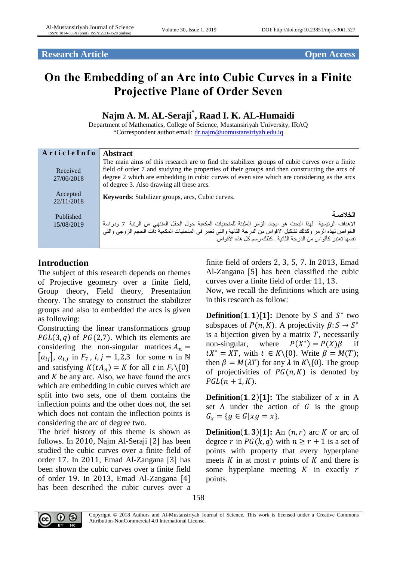**Research Article** *Open Access* 

# **On the Embedding of an Arc into Cubic Curves in a Finite Projective Plane of Order Seven**

# **Najm A. M. AL-Seraji\* , Raad I. K. AL-Humaidi**

Department of Mathematics, College of Science, Mustansiriyah University, IRAQ \*Correspondent author email: [dr.najm@uomustansiriyah.edu.iq](mailto:dr.najm@uomustansiriyah.edu.iq)

| ArticleInfo             | <b>Abstract</b>                                                                                                                                                                                                                                                                                                                              |
|-------------------------|----------------------------------------------------------------------------------------------------------------------------------------------------------------------------------------------------------------------------------------------------------------------------------------------------------------------------------------------|
| Received<br>27/06/2018  | The main aims of this research are to find the stabilizer groups of cubic curves over a finite<br>field of order 7 and studying the properties of their groups and then constructing the arcs of<br>degree 2 which are embedding in cubic curves of even size which are considering as the arcs<br>of degree 3. Also drawing all these arcs. |
| Accepted<br>22/11/2018  | Keywords: Stabilizer groups, arcs, Cubic curves.                                                                                                                                                                                                                                                                                             |
| Published<br>15/08/2019 | الخلاصية<br>الإهداف الرئيسية  لهذا البحث هو ايجاد الزمر المثبتة للمنحنيات المكعبة حول الحقل المنتهي من الرتبة  7 ودراسة<br>الخواص لهذه الزمر وكذلك تشكيل الاقواس من الدرجة الثانية والتي تغمر في المنحنيات المكعبة ذات الحجم الزوجي والتي<br>نفسها تعتبر كأقواس من الدرجة الثانية . كذلك رسم كل هذه الأقواس.                                 |

## **Introduction**

The subject of this research depends on themes of Projective geometry over a finite field, Group theory, Field theory, Presentation theory. The strategy to construct the stabilizer groups and also to embedded the arcs is given as following:

Constructing the linear transformations group  $PGL(3, q)$  of  $PG(2,7)$ . Which its elements are considering the non-singular matrices  $A_n =$  $[a_{ij}]$ ,  $a_{i,j}$  in  $F_7$ ,  $i, j = 1,2,3$  for some *n* in N and satisfying  $K(tA_n) = K$  for all t in  $F_7 \setminus \{0\}$ and  $K$  be any arc. Also, we have found the arcs which are embedding in cubic curves which are split into two sets, one of them contains the inflection points and the other does not, the set which does not contain the inflection points is considering the arc of degree two.

The brief history of this theme is shown as follows. In 2010, Najm Al-Seraji [2] has been studied the cubic curves over a finite field of order 17. In 2011, Emad Al-Zangana [3] has been shown the cubic curves over a finite field of order 19. In 2013, Emad Al-Zangana [4] has been described the cubic curves over a finite field of orders 2, 3, 5, 7. In 2013, Emad Al-Zangana [5] has been classified the cubic curves over a finite field of order 11, 13.

Now, we recall the definitions which are using in this research as follow:

**Definition(1.1)[1]:** Denote by S and  $S^*$  two subspaces of  $P(n, K)$ . A projectivity  $\beta: S \to S^*$ is a bijection given by a matrix  $T$ , necessarily non-singular, where \*) =  $P(X)\beta$  if  $tX^* = XT$ , with  $t \in K \setminus \{0\}$ . Write  $\beta = M(T)$ ; then  $\beta = M(\lambda T)$  for any  $\lambda$  in  $K \setminus \{0\}$ . The group of projectivities of  $PG(n,K)$  is denoted by  $PGL(n + 1, K)$ .

**Definition**(1.2)[1]: The stabilizer of  $x$  in A set  $\Lambda$  under the action of  $G$  is the group  $G_x = \{ g \in G | x g = x \}.$ 

**Definition**(1.3)[1]: An  $(n, r)$  arc K or arc of degree r in  $PG(k, q)$  with  $n \ge r + 1$  is a set of points with property that every hyperplane meets  $K$  in at most  $r$  points of  $K$  and there is some hyperplane meeting  $K$  in exactly  $r$ points.

158



Copyright © 2018 Authors and Al-Mustansiriyah Journal of Science. This work is licensed under a Creative Commons Attribution-NonCommercial 4.0 International License.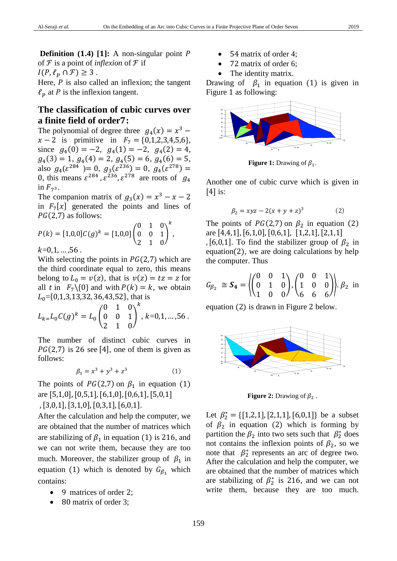**Definition** (**1.4**) [**1**]: A non-singular point P of *F* is a point of *inflexion* of *F* if  $I(P, \ell_n \cap \mathcal{F}) \geq 3$ .

Here,  $P$  is also called an inflexion; the tangent  $\ell_p$  at P is the inflexion tangent.

### **The classification of cubic curves over a finite field of order:**

The polynomial of degree three  $g_4(x) = x^3$  –  $x - 2$  is primitive in  $F_7 = \{0, 1, 2, 3, 4, 5, 6\},\$ since  $g_4(0) = -2$ ,  $g_4(1) = -2$ ,  $g_4(2) = 4$ ,  $g_4(3) = 1, g_4(4) = 2, g_4(5) = 6, g_4(6) = 5,$ also  $g_4(\varepsilon^{284}) = 0$ ,  $g_3(\varepsilon^{236}) = 0$ ,  $g_4(\varepsilon^{278}) = 0$ 0, this means  $\varepsilon^{284}$ ,  $\varepsilon^{236}$ ,  $\varepsilon^{278}$  are roots of  $g_4$ in  $F_{7^3}$ .

The companion matrix of  $g_3(x) = x^3 - x - 2$ in  $F_7[x]$  generated the points and lines of  $PG(2,7)$  as follows:

$$
P(k) = [1,0,0]C(g)^{k} = [1,0,0]\begin{pmatrix} 0 & 1 & 0 \ 0 & 0 & 1 \ 2 & 1 & 0 \end{pmatrix}^{k},
$$

 $k=0,1, ..., 56$ .

With selecting the points in  $PG(2,7)$  which are the third coordinate equal to zero, this means belong to  $L_0 = v(z)$ , that is  $v(z) = tz = z$  for all t in  $F_7 \setminus \{0\}$  and with  $P(k) = k$ , we obtain  $L_0$ ={0,1,3,13,32, 36,43,52}, that is

$$
L_{k=}L_0C(g)^k=L_0\begin{pmatrix}0&1&0\\0&0&1\\2&1&0\end{pmatrix}^k, k=0,1,\ldots,56.
$$

The number of distinct cubic curves in  $PG(2,7)$  is 26 see [4], one of them is given as follows:

$$
\beta_1 = x^3 + y^3 + z^3 \tag{1}
$$

The points of  $PG(2,7)$  on  $\beta_1$  in equation (1) are [5,1,0],[0,5,1],[6,1,0],[0,6,1],[5,0,1]

,[3,0,1],[3,1,0],[0,3,1],[6,0,1].

After the calculation and help the computer, we are obtained that the number of matrices which are stabilizing of  $\beta_1$  in equation (1) is 216, and we can not write them, because they are too much. Moreover, the stabilizer group of  $\beta_1$  in equation (1) which is denoted by  $G_{\beta_1}$  which contains:

- 9 matrices of order 2;
- 80 matrix of order 3;
- 54 matrix of order 4;
- 72 matrix of order 6;
- The identity matrix.

Drawing of  $\beta_1$  in equation (1) is given in Figure 1 as following:



**Figure 1:** Drawing of  $\beta_1$ .

Another one of cubic curve which is given in [4] is:

$$
\beta_2 = xyz - 2(x + y + z)^3
$$
 (2)

The points of  $PG(2,7)$  on  $\beta_2$  in equation (2) are [4,4,1],[6,1,0],[0,6,1], [1,2,1],[2,1,1] , [6,0,1]. To find the stabilizer group of  $\beta_2$  in equation(2), we are doing calculations by help the computer. Thus

$$
G_{\beta_2} \cong \mathbf{S_4} = \left\{ \begin{pmatrix} 0 & 0 & 1 \\ 0 & 1 & 0 \\ 1 & 0 & 0 \end{pmatrix}, \begin{pmatrix} 0 & 0 & 1 \\ 1 & 0 & 0 \\ 6 & 6 & 6 \end{pmatrix} \right\}. \beta_2 \text{ in}
$$

equation (2) is drawn in Figure 2 below.



**Figure 2:** Drawing of  $\beta_2$ .

Let  $\beta_2^* = \{ [1,2,1], [2,1,1], [6,0,1] \}$  be a subset of  $\beta_2$  in equation (2) which is forming by partition the  $\beta_2$  into two sets such that  $\beta_2^*$  does not contains the inflexion points of  $\beta_2$ , so we note that  $\beta_2^*$  represents an arc of degree two. After the calculation and help the computer, we are obtained that the number of matrices which are stabilizing of  $\beta_2^*$  is 216, and we can not write them, because they are too much.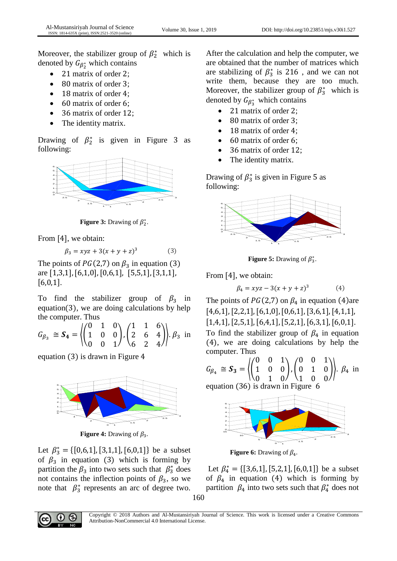Moreover, the stabilizer group of  $\beta_2^*$  which is denoted by  $G_{\beta_2^*}$  which contains

- 21 matrix of order 2;
- 80 matrix of order 3;
- 18 matrix of order 4:
- 60 matrix of order 6;
- 36 matrix of order 12;
- The identity matrix.

Drawing of  $\beta_2^*$  is given in Figure 3 as following:



**Figure 3:** Drawing of  $\beta_2^*$ .

From [4], we obtain:

$$
\beta_3 = xyz + 3(x + y + z)^3 \tag{3}
$$

The points of  $PG(2,7)$  on  $\beta_3$  in equation (3) are [1,3,1],[6,1,0],[0,6,1], [5,5,1],[3,1,1],  $[6,0,1]$ .

To find the stabilizer group of  $\beta_3$  in equation(3), we are doing calculations by help the computer. Thus

$$
G_{\beta_3} \cong \mathbf{S_4} = \left\langle \begin{pmatrix} 0 & 1 & 0 \\ 1 & 0 & 0 \\ 0 & 0 & 1 \end{pmatrix}, \begin{pmatrix} 1 & 1 & 6 \\ 2 & 6 & 4 \\ 6 & 2 & 4 \end{pmatrix} \right\rangle \cdot \beta_3 \text{ in}
$$

equation (3) is drawn in Figure 4



**Figure 4:** Drawing of  $\beta_3$ .

Let  $\beta_3^* = \{ [0,6,1], [3,1,1], [6,0,1] \}$  be a subset of  $\beta_3$  in equation (3) which is forming by partition the  $\beta_3$  into two sets such that  $\beta_3^*$  does not contains the inflection points of  $\beta_3$ , so we note that  $\beta_3^*$  represents an arc of degree two. After the calculation and help the computer, we are obtained that the number of matrices which are stabilizing of  $\beta_3^*$  is 216, and we can not write them, because they are too much. Moreover, the stabilizer group of  $\beta_3^*$  which is denoted by  $G_{\beta_3^*}$  which contains

- 21 matrix of order 2;
- 80 matrix of order 3;
- 18 matrix of order 4;
- 60 matrix of order 6;
- 36 matrix of order 12;
- The identity matrix.

Drawing of  $\beta_3^*$  is given in Figure 5 as following:



**Figure 5:** Drawing of  $\beta_3^*$ .

From [4], we obtain:

$$
\beta_4 = xyz - 3(x + y + z)^3 \tag{4}
$$

The points of  $PG(2,7)$  on  $\beta_4$  in equation (4)are  $[4,6,1]$ ,  $[2,2,1]$ ,  $[6,1,0]$ ,  $[0,6,1]$ ,  $[3,6,1]$ ,  $[4,1,1]$ ,  $[1,4,1]$ ,  $[2,5,1]$ ,  $[6,4,1]$ ,  $[5,2,1]$ ,  $[6,3,1]$ ,  $[6,0,1]$ . To find the stabilizer group of  $\beta_4$  in equation (4), we are doing calculations by help the computer. Thus

$$
G_{\beta_4} \cong S_3 = \left\{ \begin{pmatrix} 0 & 0 & 1 \\ 1 & 0 & 0 \\ 0 & 1 & 0 \end{pmatrix}, \begin{pmatrix} 0 & 0 & 1 \\ 0 & 1 & 0 \\ 1 & 0 & 0 \end{pmatrix} \right\}. \beta_4 \text{ in}
$$
  
equation (36) is drawn in Figure 6

equation (36) is drawn in Figure 6



**Figure 6:** Drawing of  $\beta_4$ .

Let  $\beta_4^* = \{ [3,6,1], [5,2,1], [6,0,1] \}$  be a subset of  $\beta_4$  in equation (4) which is forming by partition  $\beta_4$  into two sets such that  $\beta_4^*$  does not



Copyright © 2018 Authors and Al-Mustansiriyah Journal of Science. This work is licensed under a Creative Commons Attribution-NonCommercial 4.0 International License.

160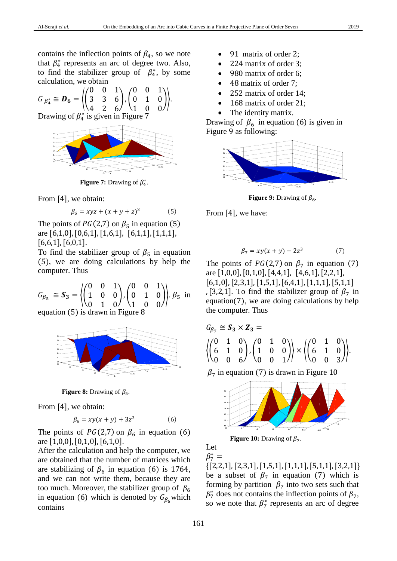$$
G_{\beta_4^*} \cong \mathbf{D_6} = \left\langle \begin{pmatrix} 0 & 0 & 1 \\ 3 & 3 & 6 \\ 4 & 2 & 6 \end{pmatrix}, \begin{pmatrix} 0 & 0 & 1 \\ 0 & 1 & 0 \\ 1 & 0 & 0 \end{pmatrix} \right\rangle.
$$

Drawing of  $\beta_4^*$  is given in Figure 7



**Figure 7:** Drawing of  $\beta_4^*$ .

From [4], we obtain:

$$
\beta_5 = xyz + (x + y + z)^3 \tag{5}
$$

The points of  $PG(2,7)$  on  $\beta_5$  in equation (5) are [6,1,0],[0,6,1],[1,6,1], [6,1,1],[1,1,1],  $[6,6,1]$ ,  $[6,0,1]$ .

To find the stabilizer group of  $\beta_5$  in equation (5), we are doing calculations by help the computer. Thus

$$
G_{\beta_5} \cong \mathbf{S}_3 = \left\{ \begin{pmatrix} 0 & 0 & 1 \\ 1 & 0 & 0 \\ 0 & 1 & 0 \end{pmatrix}, \begin{pmatrix} 0 & 0 & 1 \\ 0 & 1 & 0 \\ 1 & 0 & 0 \end{pmatrix} \right\}.\ \beta_5 \text{ in}
$$
equation (5) is drawn in Figure 8



**Figure 8:** Drawing of  $\beta_5$ .

From [4], we obtain:

$$
\beta_6 = xy(x + y) + 3z^3 \tag{6}
$$

The points of  $PG(2,7)$  on  $\beta_6$  in equation (6) are [1,0,0],[0,1,0],[6,1,0].

After the calculation and help the computer, we are obtained that the number of matrices which are stabilizing of  $\beta_6$  in equation (6) is 1764, and we can not write them, because they are too much. Moreover, the stabilizer group of  $\beta_6$ in equation (6) which is denoted by  $G_{\beta_6}$  which contains

- 91 matrix of order 2;
- 224 matrix of order 3;
- 980 matrix of order 6;
- 48 matrix of order 7;
- 252 matrix of order 14;
- 168 matrix of order 21;
- The identity matrix.

Drawing of  $\beta_6$  in equation (6) is given in Figure 9 as following:



**Figure 9:** Drawing of  $\beta_6$ .

From [4], we have:

$$
\beta_7 = xy(x+y) - 2z^3 \tag{7}
$$

The points of  $PG(2,7)$  on  $\beta_7$  in equation (7) are [1,0,0],[0,1,0],[4,4,1], [4,6,1],[2,2,1],  $[6,1,0]$ ,  $[2,3,1]$ ,  $[1,5,1]$ ,  $[6,4,1]$ ,  $[1,1,1]$ ,  $[5,1,1]$ , [3,2,1]. To find the stabilizer group of  $\beta_7$  in equation(7), we are doing calculations by help the computer. Thus

$$
G_{\beta_7} \cong S_3 \times Z_3 = \left\{ \begin{pmatrix} 0 & 1 & 0 \\ 6 & 1 & 0 \\ 0 & 0 & 6 \end{pmatrix}, \begin{pmatrix} 0 & 1 & 0 \\ 1 & 0 & 0 \\ 0 & 0 & 1 \end{pmatrix} \right\} \times \left\{ \begin{pmatrix} 0 & 1 & 0 \\ 6 & 1 & 0 \\ 0 & 0 & 3 \end{pmatrix} \right\}.
$$

 $\beta_7$  in equation (7) is drawn in Figure 10



**Figure 10:** Drawing of  $\beta_7$ .

Let  $\beta^*_{7} =$ 

 $\{[2,2,1],[2,3,1],[1,5,1],[1,1,1],[5,1,1],[3,2,1]\}$ be a subset of  $\beta_7$  in equation (7) which is forming by partition  $\beta_7$  into two sets such that  $\beta_7^*$  does not contains the inflection points of  $\beta_7$ , so we note that  $\beta_7^*$  represents an arc of degree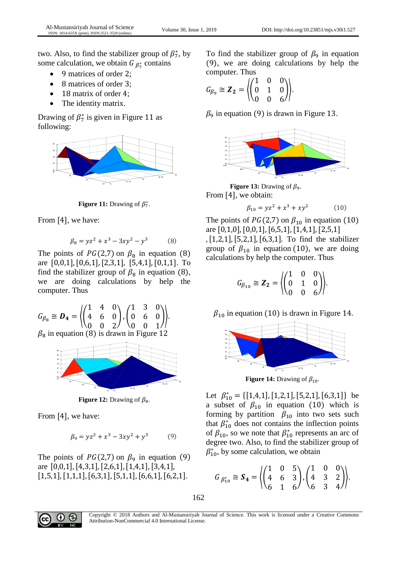two. Also, to find the stabilizer group of  $\beta_7^*$ , by some calculation, we obtain  $G_{\beta_7^*}$  contains

- 9 matrices of order 2;
- 8 matrices of order 3;
- 18 matrix of order 4;
- The identity matrix.

Drawing of  $\beta_7^*$  is given in Figure 11 as following:



**Figure 11:** Drawing of  $\beta_7^*$ .

From [4], we have:

$$
\beta_8 = yz^2 + x^3 - 3xy^2 - y^3 \tag{8}
$$

The points of  $PG(2,7)$  on  $\beta_8$  in equation (8) are [0,0,1],[0,6,1],[2,3,1], [5,4,1],[0,1,1]. To find the stabilizer group of  $\beta_8$  in equation (8), we are doing calculations by help the computer. Thus

$$
G_{\beta_8} \cong \mathbf{D_4} = \begin{pmatrix} 1 & 4 & 0 \\ 4 & 6 & 0 \\ 0 & 0 & 2 \end{pmatrix}, \begin{pmatrix} 1 & 3 & 0 \\ 0 & 6 & 0 \\ 0 & 0 & 1 \end{pmatrix}.
$$
  
\n $\beta_8$  in equation (8) is drawn in Figure 12



**Figure 12:** Drawing of  $\beta_8$ .

From [4], we have:

$$
\beta_9 = yz^2 + x^3 - 3xy^2 + y^3 \tag{9}
$$

The points of  $PG(2,7)$  on  $\beta_9$  in equation (9) are [0,0,1],[4,3,1],[2,6,1],[1,4,1],[3,4,1], [1,5,1],[1,1,1],[6,3,1],[5,1,1],[6,6,1],[6,2,1].

To find the stabilizer group of  $\beta_9$  in equation (9), we are doing calculations by help the computer. Thus

$$
G_{\beta_9} \cong \mathbf{Z}_2 = \left\langle \begin{pmatrix} 1 & 0 & 0 \\ 0 & 1 & 0 \\ 0 & 0 & 6 \end{pmatrix} \right\rangle.
$$

 $\beta_9$  in equation (9) is drawn in Figure 13.



**Figure 13:** Drawing of  $\beta_9$ . From [4], we obtain:

$$
\beta_{10} = yz^2 + x^3 + xy^2 \tag{10}
$$

The points of  $PG(2,7)$  on  $\beta_{10}$  in equation (10) are [0,1,0],[0,0,1],[6,5,1],[1,4,1],[2,5,1] ,[1,2,1],[5,2,1],[6,3,1]. To find the stabilizer group of  $\beta_{10}$  in equation (10), we are doing calculations by help the computer. Thus

$$
G_{\beta_{10}} \cong \mathbf{Z}_2 = \left\langle \begin{pmatrix} 1 & 0 & 0 \\ 0 & 1 & 0 \\ 0 & 0 & 6 \end{pmatrix} \right\rangle.
$$

 $\beta_{10}$  in equation (10) is drawn in Figure 14.



**Figure 14:** Drawing of  $\beta_{10}$ .

Let  $\beta_{10}^* = \{ [1,4,1], [1,2,1], [5,2,1], [6,3,1] \}$  be a subset of  $\beta_{10}$  in equation (10) which is forming by partition  $\beta_{10}$  into two sets such that  $\beta_{10}^*$  does not contains the inflection points of  $\beta_{10}$ , so we note that  $\beta_{10}^*$  represents an arc of degree two. Also, to find the stabilizer group of  $\beta_{10}^*$ , by some calculation, we obtain

$$
G_{\beta_{10}^*} \cong \mathbf{S_4} = \left\langle \begin{pmatrix} 1 & 0 & 5 \\ 4 & 6 & 3 \\ 6 & 1 & 6 \end{pmatrix}, \begin{pmatrix} 1 & 0 & 0 \\ 4 & 3 & 2 \\ 6 & 3 & 4 \end{pmatrix} \right\rangle.
$$



Copyright © 2018 Authors and Al-Mustansiriyah Journal of Science. This work is licensed under a Creative Commons Attribution-NonCommercial 4.0 International License.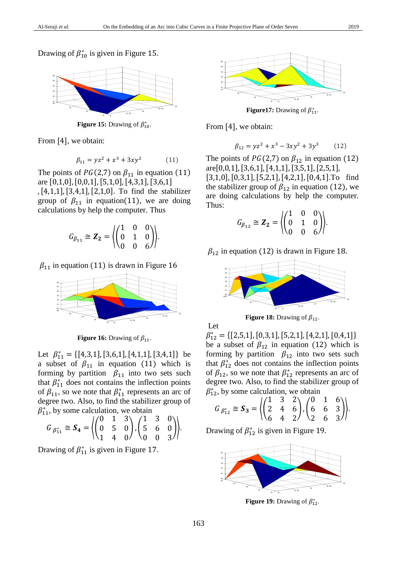Drawing of  $\beta_{10}^*$  is given in Figure 15.



**Figure 15:** Drawing of  $\beta_{10}^*$ .

From [4], we obtain:

$$
\beta_{11} = yz^2 + x^3 + 3xy^2 \tag{11}
$$

The points of  $PG(2,7)$  on  $\beta_{11}$  in equation (11) are [0,1,0],[0,0,1],[5,1,0],[4,3,1],[3,6,1] ,[4,1,1],[3,4,1],[2,1,0]. To find the stabilizer

group of  $\beta_{11}$  in equation(11), we are doing calculations by help the computer. Thus

$$
G_{\beta_{11}} \cong \mathbf{Z}_2 = \left\langle \begin{pmatrix} 1 & 0 & 0 \\ 0 & 1 & 0 \\ 0 & 0 & 6 \end{pmatrix} \right\rangle.
$$

 $\beta_{11}$  in equation (11) is drawn in Figure 16



**Figure 16:** Drawing of  $\beta_{11}$ .

Let  $\beta_{11}^* = \{ [4,3,1], [3,6,1], [4,1,1], [3,4,1] \}$  be a subset of  $\beta_{11}$  in equation (11) which is forming by partition  $\beta_{11}$  into two sets such that  $\beta_{11}^*$  does not contains the inflection points of  $\beta_{11}$ , so we note that  $\beta_{11}^*$  represents an arc of degree two. Also, to find the stabilizer group of  $\beta_{11}^*$ , by some calculation, we obtain

$$
G_{\beta_{11}^*} \cong \mathbf{S_4} = \left\langle \begin{pmatrix} 0 & 1 & 3 \\ 0 & 5 & 0 \\ 1 & 4 & 0 \end{pmatrix}, \begin{pmatrix} 1 & 3 & 0 \\ 5 & 6 & 0 \\ 0 & 0 & 3 \end{pmatrix} \right\rangle.
$$

Drawing of  $\beta_{11}^*$  is given in Figure 17.



**Figure17:** Drawing of  $\beta_{11}^*$ .

From [4], we obtain:

$$
\beta_{12} = yz^2 + x^3 - 3xy^2 + 3y^3 \tag{12}
$$

The points of  $PG(2,7)$  on  $\beta_{12}$  in equation (12) are[0,0,1],[3,6,1],[4,1,1],[3,5,1],[2,5,1], [3,1,0],[0,3,1],[5,2,1],[4,2,1],[0,4,1].To find the stabilizer group of  $\beta_{12}$  in equation (12), we are doing calculations by help the computer. Thus:

$$
G_{\beta_{12}} \cong \mathbf{Z}_2 = \left\langle \begin{pmatrix} 1 & 0 & 0 \\ 0 & 1 & 0 \\ 0 & 0 & 6 \end{pmatrix} \right\rangle.
$$

 $\beta_{12}$  in equation (12) is drawn in Figure 18.



**Figure 18:** Drawing of  $\beta_{12}$ .

Let  $\beta_{12}^* = \{ [2,5,1], [0,3,1], [5,2,1], [4,2,1], [0,4,1] \}$ be a subset of  $\beta_{12}$  in equation (12) which is forming by partition  $\beta_{12}$  into two sets such that  $\beta_{12}^*$  does not contains the inflection points of  $\beta_{12}$ , so we note that  $\beta_{12}^*$  represents an arc of degree two. Also, to find the stabilizer group of

$$
\beta_{12}^*
$$
, by some calculation, we obtain  
\n $G_{\beta_{12}^*} \cong S_3 = \left\langle \begin{pmatrix} 1 & 3 & 2 \\ 2 & 4 & 6 \\ 6 & 4 & 2 \end{pmatrix}, \begin{pmatrix} 0 & 1 & 6 \\ 6 & 6 & 3 \\ 2 & 6 & 3 \end{pmatrix} \right\rangle.$ 

Drawing of  $\beta_{12}^*$  is given in Figure 19.



**Figure 19:** Drawing of  $\beta_{12}^*$ .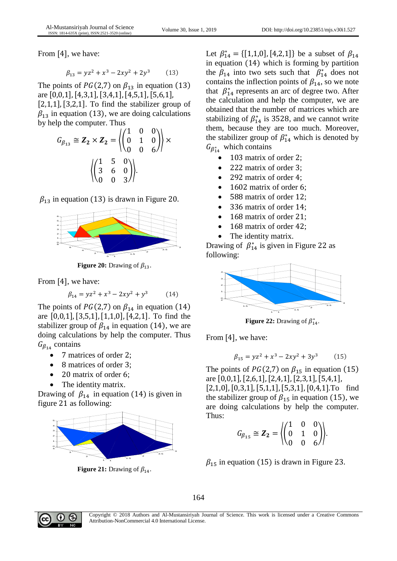From [4], we have:

$$
\beta_{13} = yz^2 + x^3 - 2xy^2 + 2y^3 \tag{13}
$$

The points of  $PG(2,7)$  on  $\beta_{13}$  in equation (13) are [0,0,1],[4,3,1],[3,4,1],[4,5,1],[5,6,1],  $[2,1,1]$ ,  $[3,2,1]$ . To find the stabilizer group of

 $\beta_{13}$  in equation (13), we are doing calculations by help the computer. Thus

$$
G_{\beta_{13}} \cong Z_2 \times Z_2 = \left\langle \begin{pmatrix} 1 & 0 & 0 \\ 0 & 1 & 0 \\ 0 & 0 & 6 \end{pmatrix} \right\rangle \times \left\langle \begin{pmatrix} 1 & 5 & 0 \\ 3 & 6 & 0 \\ 0 & 0 & 3 \end{pmatrix} \right\rangle.
$$

 $\beta_{13}$  in equation (13) is drawn in Figure 20.



**Figure 20:** Drawing of  $\beta_{13}$ .

From [4], we have:

$$
\beta_{14} = yz^2 + x^3 - 2xy^2 + y^3 \tag{14}
$$

The points of  $PG(2,7)$  on  $\beta_{14}$  in equation (14) are  $[0,0,1]$ ,  $[3,5,1]$ ,  $[1,1,0]$ ,  $[4,2,1]$ . To find the stabilizer group of  $\beta_{14}$  in equation (14), we are doing calculations by help the computer. Thus  $G_{\beta_{14}}$  contains

- 7 matrices of order 2;
- 8 matrices of order 3;
- 20 matrix of order 6;
- The identity matrix.

Drawing of  $\beta_{14}$  in equation (14) is given in figure 21 as following:



**Figure 21:** Drawing of  $\beta_{14}$ .

Let  $\beta_{14}^* = \{ [1,1,0], [4,2,1] \}$  be a subset of  $\beta_{14}$ in equation (14) which is forming by partition the  $\beta_{14}$  into two sets such that  $\beta_{14}^*$  does not contains the inflection points of  $\beta_{14}$ , so we note that  $\beta_{14}^*$  represents an arc of degree two. After the calculation and help the computer, we are obtained that the number of matrices which are stabilizing of  $\beta_{14}^*$  is 3528, and we cannot write them, because they are too much. Moreover, the stabilizer group of  $\beta_{14}^*$  which is denoted by  $G_{\beta_{14}^*}$  which contains

- 103 matrix of order 2;
- 222 matrix of order 3;
- 292 matrix of order 4;
- 1602 matrix of order 6;
- 588 matrix of order 12;
- 336 matrix of order 14;
- 168 matrix of order 21;
- 168 matrix of order 42;
- The identity matrix.

Drawing of  $\beta_{14}^*$  is given in Figure 22 as following:



**Figure 22:** Drawing of  $\beta_{14}^*$ .

From [4], we have:

$$
\beta_{15} = yz^2 + x^3 - 2xy^2 + 3y^3 \tag{15}
$$

The points of  $PG(2,7)$  on  $\beta_{15}$  in equation (15) are [0,0,1],[2,6,1],[2,4,1],[2,3,1],[5,4,1],

[2,1,0],[0,3,1],[5,1,1],[5,3,1],[0,4,1].To find the stabilizer group of  $\beta_{15}$  in equation (15), we are doing calculations by help the computer. Thus:

$$
G_{\beta_{15}} \cong \mathbf{Z}_2 = \left\langle \begin{pmatrix} 1 & 0 & 0 \\ 0 & 1 & 0 \\ 0 & 0 & 6 \end{pmatrix} \right\rangle.
$$

 $\beta_{15}$  in equation (15) is drawn in Figure 23.



Copyright © 2018 Authors and Al-Mustansiriyah Journal of Science. This work is licensed under a Creative Commons Attribution-NonCommercial 4.0 International License.

164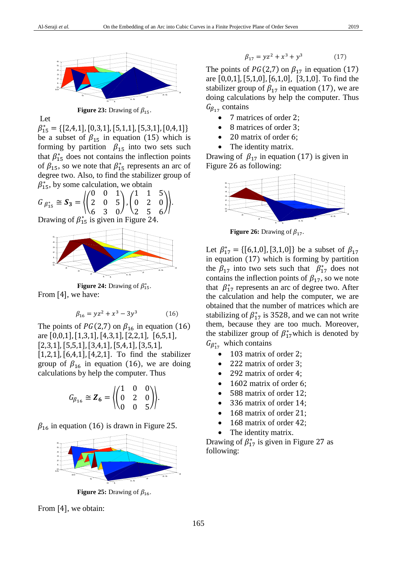

**Figure 23:** Drawing of  $\beta_{15}$ .

Let

 $\beta_{15}^* = \{ [2,4,1], [0,3,1], [5,1,1], [5,3,1], [0,4,1] \}$ be a subset of  $\beta_{15}$  in equation (15) which is forming by partition  $\beta_{15}$  into two sets such that  $\beta_{15}^*$  does not contains the inflection points of  $\beta_{15}$ , so we note that  $\beta_{15}^*$  represents an arc of degree two. Also, to find the stabilizer group of  $\beta_{15}^*$ , by some calculation, we obtain

$$
G_{\beta_{15}^{*}} \cong S_3 = \left\langle \begin{pmatrix} 0 & 0 & 1 \\ 2 & 0 & 5 \\ 6 & 3 & 0 \end{pmatrix}, \begin{pmatrix} 1 & 1 & 5 \\ 0 & 2 & 0 \\ 2 & 5 & 6 \end{pmatrix} \right\rangle.
$$

Drawing of  $\beta_{15}^*$  is given in Figure 24.



**Figure 24:** Drawing of  $\beta_{15}^*$ .

From [4], we have:

$$
\beta_{16} = yz^2 + x^3 - 3y^3 \tag{16}
$$

The points of  $PG(2,7)$  on  $\beta_{16}$  in equation (16) are [0,0,1],[1,3,1],[4,3,1],[2,2,1], [6,5,1],  $[2,3,1]$ ,  $[5,5,1]$ ,  $[3,4,1]$ ,  $[5,4,1]$ ,  $[3,5,1]$ , [1,2,1],[6,4,1],[4,2,1]. To find the stabilizer group of  $\beta_{16}$  in equation (16), we are doing calculations by help the computer. Thus

$$
G_{\beta_{16}} \cong \mathbf{Z}_6 = \left\langle \begin{pmatrix} 1 & 0 & 0 \\ 0 & 2 & 0 \\ 0 & 0 & 5 \end{pmatrix} \right\rangle.
$$

 $\beta_{16}$  in equation (16) is drawn in Figure 25.



**Figure 25:** Drawing of  $\beta_{16}$ .

From [4], we obtain:

$$
\beta_{17} = yz^2 + x^3 + y^3 \tag{17}
$$

The points of  $PG(2,7)$  on  $\beta_{17}$  in equation (17) are  $[0,0,1]$ ,  $[5,1,0]$ ,  $[6,1,0]$ ,  $[3,1,0]$ . To find the stabilizer group of  $\beta_{17}$  in equation (17), we are doing calculations by help the computer. Thus  $G_{\beta_{17}}$  contains

- 7 matrices of order 2;
- 8 matrices of order 3;
- 20 matrix of order 6;
- The identity matrix.

Drawing of  $\beta_{17}$  in equation (17) is given in Figure 26 as following:



**Figure 26:** Drawing of  $\beta_{17}$ .

Let  $\beta_{17}^* = \{ [6,1,0], [3,1,0] \}$  be a subset of  $\beta_{17}$ in equation (17) which is forming by partition the  $\beta_{17}$  into two sets such that  $\beta_{17}^*$  does not contains the inflection points of  $\beta_{17}$ , so we note that  $\beta_{17}^*$  represents an arc of degree two. After the calculation and help the computer, we are obtained that the number of matrices which are stabilizing of  $\beta_{17}^*$  is 3528, and we can not write them, because they are too much. Moreover, the stabilizer group of  $\beta_{17}^*$  which is denoted by  $G_{\beta_{17}^*}$  which contains

- 103 matrix of order 2;
- 222 matrix of order 3;
- 292 matrix of order 4;
- 1602 matrix of order 6;
- 588 matrix of order 12;
- 336 matrix of order 14;
- 168 matrix of order 21;
- 168 matrix of order 42;
- The identity matrix.

Drawing of  $\beta_{17}^*$  is given in Figure 27 as following: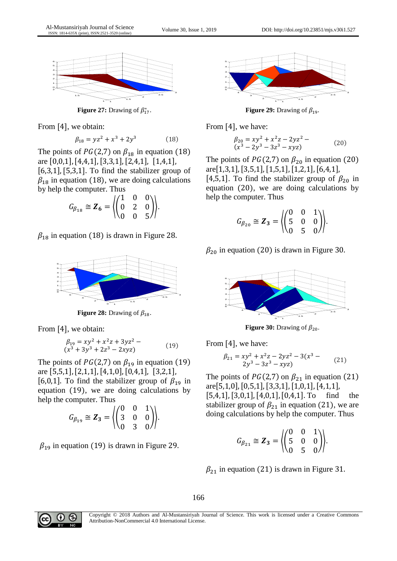

**Figure 27:** Drawing of  $\beta_{17}^*$ .

From [4], we obtain:

$$
\beta_{18} = yz^2 + x^3 + 2y^3 \tag{18}
$$

The points of  $PG(2,7)$  on  $\beta_{18}$  in equation (18) are [0,0,1],[4,4,1],[3,3,1],[2,4,1], [1,4,1],  $[6,3,1]$ ,  $[5,3,1]$ . To find the stabilizer group of  $\beta_{18}$  in equation (18), we are doing calculations by help the computer. Thus

$$
G_{\beta_{18}} \cong \mathbf{Z}_6 = \left\langle \begin{pmatrix} 1 & 0 & 0 \\ 0 & 2 & 0 \\ 0 & 0 & 5 \end{pmatrix} \right\rangle.
$$

 $\beta_{18}$  in equation (18) is drawn in Figure 28.



**Figure 28:** Drawing of  $\beta_{18}$ .

From [4], we obtain:

$$
\begin{aligned} \beta_{19} &= xy^2 + x^2z + 3yz^2 - \\ (x^3 + 3y^3 + 2z^3 - 2xyz) \end{aligned} \tag{19}
$$

The points of  $PG(2,7)$  on  $\beta_{19}$  in equation (19) are [5,5,1],[2,1,1],[4,1,0],[0,4,1], [3,2,1],

[6,0,1]. To find the stabilizer group of  $\beta_{19}$  in equation (19), we are doing calculations by help the computer. Thus

$$
G_{\beta_{19}} \cong Z_3 = \left\langle \begin{pmatrix} 0 & 0 & 1 \\ 3 & 0 & 0 \\ 0 & 3 & 0 \end{pmatrix} \right\rangle.
$$

 $\beta_{19}$  in equation (19) is drawn in Figure 29.



**Figure 29:** Drawing of  $\beta_{19}$ .

From [4], we have:

$$
\begin{aligned} \beta_{20} &= xy^2 + x^2z - 2yz^2 - \\ (x^3 - 2y^3 - 3z^3 - xyz) \end{aligned} \tag{20}
$$

The points of  $PG(2,7)$  on  $\beta_{20}$  in equation (20) are[1,3,1],[3,5,1],[1,5,1],[1,2,1],[6,4,1],

[4,5,1]. To find the stabilizer group of  $\beta_{20}$  in equation (20), we are doing calculations by help the computer. Thus

$$
G_{\beta_{20}} \cong \mathbf{Z}_3 = \left\langle \begin{pmatrix} 0 & 0 & 1 \\ 5 & 0 & 0 \\ 0 & 5 & 0 \end{pmatrix} \right\rangle.
$$

 $\beta_{20}$  in equation (20) is drawn in Figure 30.



**Figure 30:** Drawing of  $\beta_{20}$ .

From [4], we have:

$$
\beta_{21} = xy^2 + x^2z - 2yz^2 - 3(x^3 - 2y^3 - 3z^3 - xyz)
$$
\n(21)

The points of  $PG(2,7)$  on  $\beta_{21}$  in equation (21) are[5,1,0],[0,5,1],[3,3,1],[1,0,1],[4,1,1],

[5,4,1],[3,0,1],[4,0,1],[0,4,1]. To find the stabilizer group of  $\beta_{21}$  in equation (21), we are doing calculations by help the computer. Thus

$$
G_{\beta_{21}} \cong \mathbf{Z}_3 = \begin{pmatrix} 0 & 0 & 1 \\ 5 & 0 & 0 \\ 0 & 5 & 0 \end{pmatrix}.
$$

 $\beta_{21}$  in equation (21) is drawn in Figure 31.

166



Copyright © 2018 Authors and Al-Mustansiriyah Journal of Science. This work is licensed under a Creative Commons Attribution-NonCommercial 4.0 International License.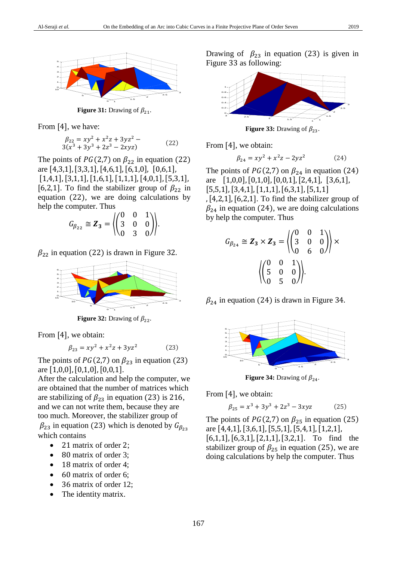

**Figure 31:** Drawing of  $\beta_{21}$ .

From [4], we have:

$$
\begin{aligned} \beta_{22} &= xy^2 + x^2z + 3yz^2 - \\ 3(x^3 + 3y^3 + 2z^3 - 2xyz) \end{aligned} \tag{22}
$$

The points of  $PG(2,7)$  on  $\beta_{22}$  in equation (22) are [4,3,1],[3,3,1],[4,6,1],[6,1,0], [0,6,1],  $[1,4,1]$ ,  $[3,1,1]$ ,  $[1,6,1]$ ,  $[1,1,1]$ ,  $[4,0,1]$ ,  $[5,3,1]$ , [6,2,1]. To find the stabilizer group of  $\beta_{22}$  in equation (22), we are doing calculations by help the computer. Thus

$$
G_{\beta_{22}} \cong \mathbf{Z}_3 = \left\langle \begin{pmatrix} 0 & 0 & 1 \\ 3 & 0 & 0 \\ 0 & 3 & 0 \end{pmatrix} \right\rangle.
$$

 $\beta_{22}$  in equation (22) is drawn in Figure 32.



**Figure 32:** Drawing of  $\beta_{22}$ .

From [4], we obtain:

$$
\beta_{23} = xy^2 + x^2z + 3yz^2 \tag{23}
$$

The points of  $PG(2,7)$  on  $\beta_{23}$  in equation (23) are [1,0,0],[0,1,0],[0,0,1].

After the calculation and help the computer, we are obtained that the number of matrices which are stabilizing of  $\beta_{23}$  in equation (23) is 216, and we can not write them, because they are too much. Moreover, the stabilizer group of  $\beta_{23}$  in equation (23) which is denoted by  $G_{\beta_{23}}$ which contains

- 21 matrix of order 2;
- 80 matrix of order 3;
- 18 matrix of order 4;
- 60 matrix of order 6;
- 36 matrix of order 12;
- The identity matrix.

Drawing of  $\beta_{23}$  in equation (23) is given in Figure 33 as following:



**Figure 33:** Drawing of  $\beta_{23}$ .

From [4], we obtain:

$$
\beta_{24} = xy^2 + x^2z - 2yz^2 \tag{24}
$$

The points of  $PG(2,7)$  on  $\beta_{24}$  in equation (24) are [1,0,0],[0,1,0],[0,0,1],[2,4,1], [3,6,1],  $[5,5,1], [3,4,1], [1,1,1], [6,3,1], [5,1,1]$  $, [4,2,1], [6,2,1].$  To find the stabilizer group of  $\beta_{24}$  in equation (24), we are doing calculations by help the computer. Thus

$$
G_{\beta_{24}} \cong \mathbf{Z}_3 \times \mathbf{Z}_3 = \left\langle \begin{pmatrix} 0 & 0 & 1 \\ 3 & 0 & 0 \\ 0 & 6 & 0 \end{pmatrix} \right\rangle \times \left\langle \begin{pmatrix} 0 & 0 & 1 \\ 5 & 0 & 0 \\ 0 & 5 & 0 \end{pmatrix} \right\rangle.
$$

 $\beta_{24}$  in equation (24) is drawn in Figure 34.



**Figure 34:** Drawing of  $\beta_{24}$ .

From [4], we obtain:

$$
\beta_{25} = x^3 + 3y^3 + 2z^3 - 3xyz \tag{25}
$$

The points of  $PG(2,7)$  on  $\beta_{25}$  in equation (25) are [4,4,1],[3,6,1],[5,5,1],[5,4,1],[1,2,1],  $[6,1,1]$ ,  $[6,3,1]$ ,  $[2,1,1]$ ,  $[3,2,1]$ . To find the stabilizer group of  $\beta_{25}$  in equation (25), we are doing calculations by help the computer. Thus